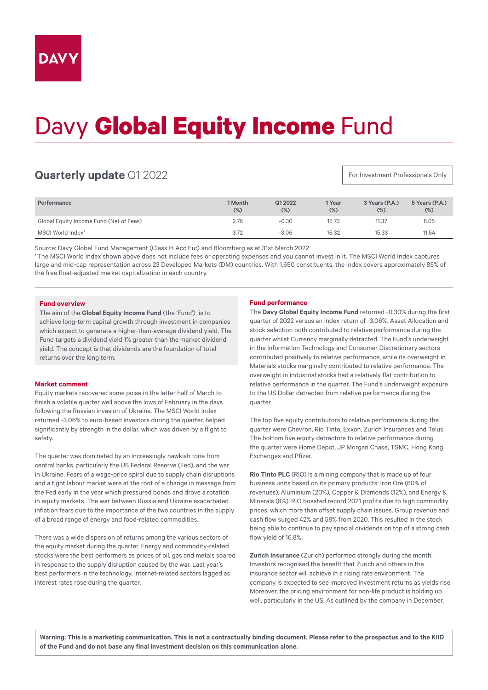# Davy **Global Equity Income** Fund

## **Quarterly update** Q1 2022

For Investment Professionals Only

| Performance                             | 1 Month<br>$(\%)$ | Q12022<br>$(\%)$ | 1 Year<br>$(\%)$ | 3 Years (P.A.)<br>(%) | 5 Years (P.A.)<br>$(\%)$ |
|-----------------------------------------|-------------------|------------------|------------------|-----------------------|--------------------------|
| Global Equity Income Fund (Net of Fees) | 2.76              | $-0.30$          | 15.73            | 11.37                 | 8.05                     |
| MSCI World Index <sup>1</sup>           | 3.72              | $-3.06$          | 16.32            | 15.33                 | 11.54                    |

Source: Davy Global Fund Management (Class H Acc Eur) and Bloomberg as at 31st March 2022

1 The MSCI World Index shown above does not include fees or operating expenses and you cannot invest in it. The MSCI World Index captures large and mid-cap representation across 23 Developed Markets (DM) countries. With 1,650 constituents, the index covers approximately 85% of the free float-adjusted market capitalization in each country.

#### **Fund overview**

The aim of the **Global Equity Income Fund** (the 'Fund') is to achieve long-term capital growth through investment in companies which expect to generate a higher-than-average dividend yield. The Fund targets a dividend yield 1% greater than the market dividend yield. The concept is that dividends are the foundation of total returns over the long term.

### **Market comment**

Equity markets recovered some poise in the latter half of March to finish a volatile quarter well above the lows of February in the days following the Russian invasion of Ukraine. The MSCI World Index returned -3.06% to euro-based investors during the quarter, helped significantly by strength in the dollar, which was driven by a flight to safety.

The quarter was dominated by an increasingly hawkish tone from central banks, particularly the US Federal Reserve (Fed), and the war in Ukraine. Fears of a wage-price spiral due to supply chain disruptions and a tight labour market were at the root of a change in message from the Fed early in the year which pressured bonds and drove a rotation in equity markets. The war between Russia and Ukraine exacerbated inflation fears due to the importance of the two countries in the supply of a broad range of energy and food-related commodities.

There was a wide dispersion of returns among the various sectors of the equity market during the quarter. Energy and commodity-related stocks were the best performers as prices of oil, gas and metals soared in response to the supply disruption caused by the war. Last year's best performers in the technology, internet-related sectors lagged as interest rates rose during the quarter.

### **Fund performance**

The **Davy Global Equity Income Fund** returned -0.30% during the first quarter of 2022 versus an index return of -3.06%. Asset Allocation and stock selection both contributed to relative performance during the quarter whilst Currency marginally detracted. The Fund's underweight in the Information Technology and Consumer Discretionary sectors contributed positively to relative performance, while its overweight in Materials stocks marginally contributed to relative performance. The overweight in industrial stocks had a relatively flat contribution to relative performance in the quarter. The Fund's underweight exposure to the US Dollar detracted from relative performance during the quarter.

The top five equity contributors to relative performance during the quarter were Chevron, Rio Tinto, Exxon, Zurich Insurances and Telus. The bottom five equity detractors to relative performance during the quarter were Home Depot, JP Morgan Chase, TSMC, Hong Kong Exchanges and Pfizer.

**Rio Tinto PLC** (RIO) is a mining company that is made up of four business units based on its primary products: Iron Ore (60% of revenues), Aluminium (20%), Copper & Diamonds (12%), and Energy & Minerals (8%). RIO boasted record 2021 profits due to high commodity prices, which more than offset supply chain issues. Group revenue and cash flow surged 42% and 58% from 2020. This resulted in the stock being able to continue to pay special dividends on top of a strong cash flow yield of 16.8%.

**Zurich Insurance** (Zurich) performed strongly during the month. Investors recognised the benefit that Zurich and others in the insurance sector will achieve in a rising rate environment. The company is expected to see improved investment returns as yields rise. Moreover, the pricing environment for non-life product is holding up well, particularly in the US. As outlined by the company in December,

**Warning: This is a marketing communication. This is not a contractually binding document. Please refer to the prospectus and to the KIID of the Fund and do not base any final investment decision on this communication alone.**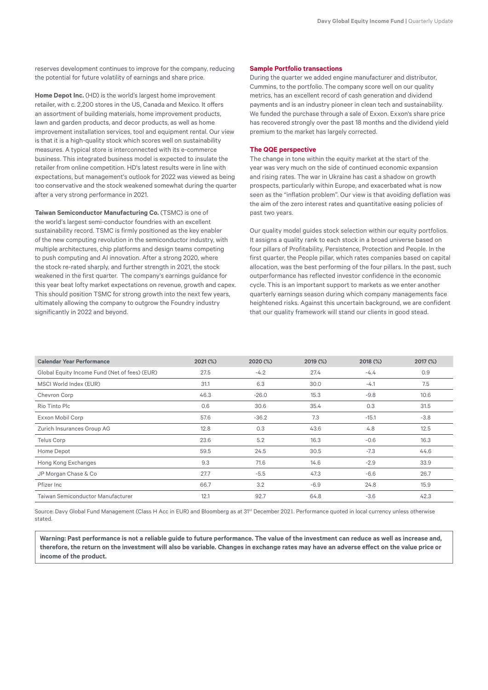reserves development continues to improve for the company, reducing the potential for future volatility of earnings and share price.

**Home Depot Inc.** (HD) is the world's largest home improvement retailer, with c. 2,200 stores in the US, Canada and Mexico. It offers an assortment of building materials, home improvement products, lawn and garden products, and decor products, as well as home improvement installation services, tool and equipment rental. Our view is that it is a high-quality stock which scores well on sustainability measures. A typical store is interconnected with its e-commerce business. This integrated business model is expected to insulate the retailer from online competition. HD's latest results were in line with expectations, but management's outlook for 2022 was viewed as being too conservative and the stock weakened somewhat during the quarter after a very strong performance in 2021.

**Taiwan Semiconductor Manufacturing Co.** (TSMC) is one of the world's largest semi-conductor foundries with an excellent sustainability record. TSMC is firmly positioned as the key enabler of the new computing revolution in the semiconductor industry, with multiple architectures, chip platforms and design teams competing to push computing and AI innovation. After a strong 2020, where the stock re-rated sharply, and further strength in 2021, the stock weakened in the first quarter. The company's earnings guidance for this year beat lofty market expectations on revenue, growth and capex. This should position TSMC for strong growth into the next few years, ultimately allowing the company to outgrow the Foundry industry significantly in 2022 and beyond.

#### **Sample Portfolio transactions**

During the quarter we added engine manufacturer and distributor, Cummins, to the portfolio. The company score well on our quality metrics, has an excellent record of cash generation and dividend payments and is an industry pioneer in clean tech and sustainability. We funded the purchase through a sale of Exxon. Exxon's share price has recovered strongly over the past 18 months and the dividend yield premium to the market has largely corrected.

#### **The QQE perspective**

The change in tone within the equity market at the start of the year was very much on the side of continued economic expansion and rising rates. The war in Ukraine has cast a shadow on growth prospects, particularly within Europe, and exacerbated what is now seen as the "inflation problem". Our view is that avoiding deflation was the aim of the zero interest rates and quantitative easing policies of past two years.

Our quality model guides stock selection within our equity portfolios. It assigns a quality rank to each stock in a broad universe based on four pillars of Profitability, Persistence, Protection and People. In the first quarter, the People pillar, which rates companies based on capital allocation, was the best performing of the four pillars. In the past, such outperformance has reflected investor confidence in the economic cycle. This is an important support to markets as we enter another quarterly earnings season during which company managements face heightened risks. Against this uncertain background, we are confident that our quality framework will stand our clients in good stead.

| <b>Calendar Year Performance</b>              | $2021$ (%) | 2020 (%) | 2019 (%) | 2018 (%) | 2017 (%) |
|-----------------------------------------------|------------|----------|----------|----------|----------|
| Global Equity Income Fund (Net of fees) (EUR) | 27.5       | $-4.2$   | 27.4     | $-4.4$   | 0.9      |
| MSCI World Index (EUR)                        | 31.1       | 6.3      | 30.0     | $-4.1$   | 7.5      |
| Chevron Corp                                  | 46.3       | $-26.0$  | 15.3     | $-9.8$   | 10.6     |
| Rio Tinto Plc                                 | 0.6        | 30.6     | 35.4     | 0.3      | 31.5     |
| Exxon Mobil Corp                              | 57.6       | $-36.2$  | 7.3      | $-15.1$  | $-3.8$   |
| Zurich Insurances Group AG                    | 12.8       | 0.3      | 43.6     | 4.8      | 12.5     |
| Telus Corp                                    | 23.6       | 5.2      | 16.3     | $-0.6$   | 16.3     |
| Home Depot                                    | 59.5       | 24.5     | 30.5     | $-7.3$   | 44.6     |
| Hong Kong Exchanges                           | 9.3        | 71.6     | 14.6     | $-2.9$   | 33.9     |
| JP Morgan Chase & Co                          | 27.7       | $-5.5$   | 47.3     | $-6.6$   | 26.7     |
| Pfizer Inc                                    | 66.7       | 3.2      | $-6.9$   | 24.8     | 15.9     |
| Taiwan Semiconductor Manufacturer             | 12.1       | 92.7     | 64.8     | $-3.6$   | 42.3     |

Source: Davy Global Fund Management (Class H Acc in EUR) and Bloomberg as at 31<sup>st</sup> December 2021. Performance quoted in local currency unless otherwise stated

**Warning: Past performance is not a reliable guide to future performance. The value of the investment can reduce as well as increase and, therefore, the return on the investment will also be variable. Changes in exchange rates may have an adverse effect on the value price or income of the product.**